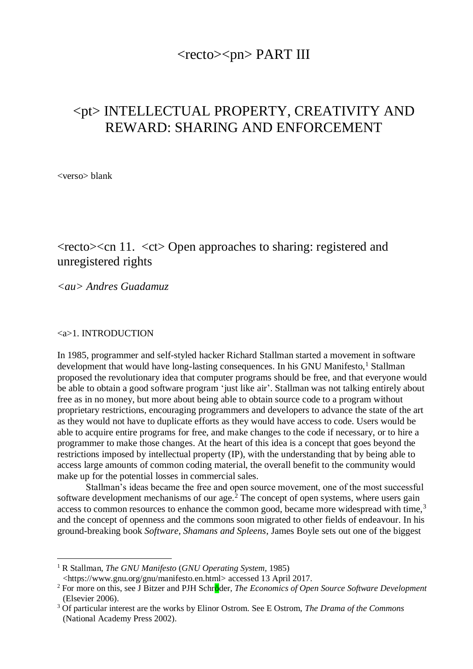## $<$ recto $>$  $<$ pn $>$  PART III

# <pt> INTELLECTUAL PROPERTY, CREATIVITY AND REWARD: SHARING AND ENFORCEMENT

<verso> blank

# <recto><cn 11. <ct> Open approaches to sharing: registered and unregistered rights

*<au> Andres Guadamuz*

<a>1. INTRODUCTION

In 1985, programmer and self-styled hacker Richard Stallman started a movement in software development that would have long-lasting consequences. In his GNU Manifesto, $1$  Stallman proposed the revolutionary idea that computer programs should be free, and that everyone would be able to obtain a good software program 'just like air'. Stallman was not talking entirely about free as in no money, but more about being able to obtain source code to a program without proprietary restrictions, encouraging programmers and developers to advance the state of the art as they would not have to duplicate efforts as they would have access to code. Users would be able to acquire entire programs for free, and make changes to the code if necessary, or to hire a programmer to make those changes. At the heart of this idea is a concept that goes beyond the restrictions imposed by intellectual property (IP), with the understanding that by being able to access large amounts of common coding material, the overall benefit to the community would make up for the potential losses in commercial sales.

Stallman's ideas became the free and open source movement, one of the most successful software development mechanisms of our age.<sup>2</sup> The concept of open systems, where users gain access to common resources to enhance the common good, became more widespread with time,<sup>3</sup> and the concept of openness and the commons soon migrated to other fields of endeavour. In his ground-breaking book *Software, Shamans and Spleens*, James Boyle sets out one of the biggest

<sup>1</sup> R Stallman, *The GNU Manifesto* (*GNU Operating System,* 1985)

<sup>&</sup>lt;https://www.gnu.org/gnu/manifesto.en.html> accessed 13 April 2017.

<sup>2</sup> For more on this, see J Bitzer and PJH Schröder, *The Economics of Open Source Software Development* (Elsevier 2006).

<sup>3</sup> Of particular interest are the works by Elinor Ostrom. See E Ostrom, *The Drama of the Commons* (National Academy Press 2002).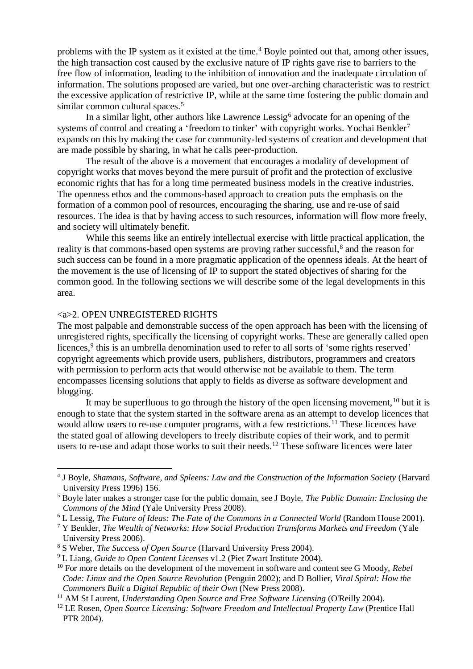problems with the IP system as it existed at the time.<sup>4</sup> Boyle pointed out that, among other issues, the high transaction cost caused by the exclusive nature of IP rights gave rise to barriers to the free flow of information, leading to the inhibition of innovation and the inadequate circulation of information. The solutions proposed are varied, but one over-arching characteristic was to restrict the excessive application of restrictive IP, while at the same time fostering the public domain and similar common cultural spaces.<sup>5</sup>

In a similar light, other authors like Lawrence Lessig<sup>6</sup> advocate for an opening of the systems of control and creating a 'freedom to tinker' with copyright works. Yochai Benkler<sup>7</sup> expands on this by making the case for community-led systems of creation and development that are made possible by sharing, in what he calls peer-production.

The result of the above is a movement that encourages a modality of development of copyright works that moves beyond the mere pursuit of profit and the protection of exclusive economic rights that has for a long time permeated business models in the creative industries. The openness ethos and the commons-based approach to creation puts the emphasis on the formation of a common pool of resources, encouraging the sharing, use and re-use of said resources. The idea is that by having access to such resources, information will flow more freely, and society will ultimately benefit.

While this seems like an entirely intellectual exercise with little practical application, the reality is that commons-based open systems are proving rather successful,<sup>8</sup> and the reason for such success can be found in a more pragmatic application of the openness ideals. At the heart of the movement is the use of licensing of IP to support the stated objectives of sharing for the common good. In the following sections we will describe some of the legal developments in this area.

#### <a>2. OPEN UNREGISTERED RIGHTS

The most palpable and demonstrable success of the open approach has been with the licensing of unregistered rights, specifically the licensing of copyright works. These are generally called open licences,<sup>9</sup> this is an umbrella denomination used to refer to all sorts of 'some rights reserved' copyright agreements which provide users, publishers, distributors, programmers and creators with permission to perform acts that would otherwise not be available to them. The term encompasses licensing solutions that apply to fields as diverse as software development and blogging.

It may be superfluous to go through the history of the open licensing movement,  $10$  but it is enough to state that the system started in the software arena as an attempt to develop licences that would allow users to re-use computer programs, with a few restrictions.<sup>11</sup> These licences have the stated goal of allowing developers to freely distribute copies of their work, and to permit users to re-use and adapt those works to suit their needs.<sup>12</sup> These software licences were later

<sup>4</sup> J Boyle, *Shamans, Software, and Spleens: Law and the Construction of the Information Society* (Harvard University Press 1996) 156.

<sup>5</sup> Boyle later makes a stronger case for the public domain, see J Boyle, *The Public Domain: Enclosing the Commons of the Mind* (Yale University Press 2008).

<sup>6</sup> L Lessig, *The Future of Ideas: The Fate of the Commons in a Connected World* (Random House 2001).

<sup>7</sup> Y Benkler, *The Wealth of Networks: How Social Production Transforms Markets and Freedom* (Yale University Press 2006).

<sup>8</sup> S Weber, *The Success of Open Source* (Harvard University Press 2004).

<sup>9</sup> L Liang, *Guide to Open Content Licenses* v1.2 (Piet Zwart Institute 2004).

<sup>10</sup> For more details on the development of the movement in software and content see G Moody, *Rebel Code: Linux and the Open Source Revolution* (Penguin 2002); and D Bollier, *Viral Spiral: How the Commoners Built a Digital Republic of their Own* (New Press 2008).

<sup>11</sup> AM St Laurent, *Understanding Open Source and Free Software Licensing* (O'Reilly 2004).

<sup>12</sup> LE Rosen, *Open Source Licensing: Software Freedom and Intellectual Property Law* (Prentice Hall PTR 2004).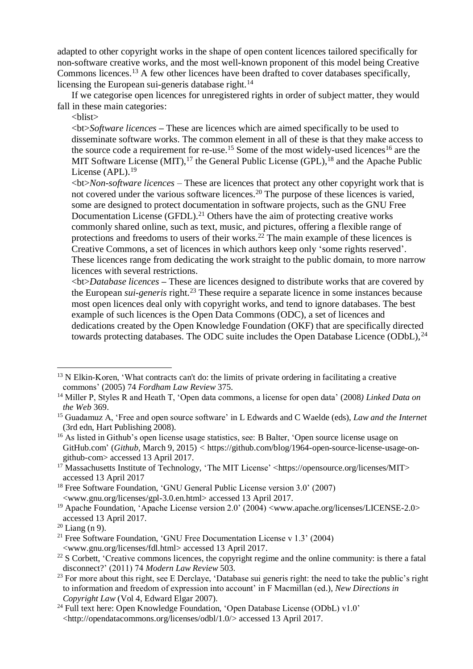adapted to other copyright works in the shape of open content licences tailored specifically for non-software creative works, and the most well-known proponent of this model being Creative Commons licences.<sup>13</sup> A few other licences have been drafted to cover databases specifically, licensing the European sui-generis database right.<sup>14</sup>

If we categorise open licences for unregistered rights in order of subject matter, they would fall in these main categories:

<blist>

<bt>*Software licences* **–** These are licences which are aimed specifically to be used to disseminate software works. The common element in all of these is that they make access to the source code a requirement for re-use.<sup>15</sup> Some of the most widely-used licences<sup>16</sup> are the MIT Software License (MIT),  $17$  the General Public License (GPL),  $18$  and the Apache Public License (APL).<sup>19</sup>

<bt>*Non-software licences* – These are licences that protect any other copyright work that is not covered under the various software licences.<sup>20</sup> The purpose of these licences is varied, some are designed to protect documentation in software projects, such as the GNU Free Documentation License (GFDL).<sup>21</sup> Others have the aim of protecting creative works commonly shared online, such as text, music, and pictures, offering a flexible range of protections and freedoms to users of their works.<sup>22</sup> The main example of these licences is Creative Commons, a set of licences in which authors keep only 'some rights reserved'. These licences range from dedicating the work straight to the public domain, to more narrow licences with several restrictions.

<bt>*Database licences* **–** These are licences designed to distribute works that are covered by the European *sui-generis* right.<sup>23</sup> These require a separate licence in some instances because most open licences deal only with copyright works, and tend to ignore databases. The best example of such licences is the Open Data Commons (ODC), a set of licences and dedications created by the Open Knowledge Foundation (OKF) that are specifically directed towards protecting databases. The ODC suite includes the Open Database Licence (ODbL), <sup>24</sup>

 $13$  N Elkin-Koren, 'What contracts can't do: the limits of private ordering in facilitating a creative commons' (2005) 74 *Fordham Law Review* 375.

<sup>14</sup> Miller P, Styles R and Heath T, 'Open data commons, a license for open data' (2008*) Linked Data on the Web* 369.

<sup>15</sup> Guadamuz A, 'Free and open source software' in L Edwards and C Waelde (eds), *Law and the Internet* (3rd edn, Hart Publishing 2008).

<sup>&</sup>lt;sup>16</sup> As listed in Github's open license usage statistics, see: B Balter, 'Open source license usage on GitHub.com' (*Github*, March 9, 2015) *<* [https://github.com/blog/1964-open-source-license-usage-on](https://github.com/blog/1964-open-source-license-usage-on-github-com)[github-com>](https://github.com/blog/1964-open-source-license-usage-on-github-com) accessed 13 April 2017.

<sup>&</sup>lt;sup>17</sup> Massachusetts Institute of Technology, 'The MIT License' [<https://opensource.org/licenses/MIT>](https://opensource.org/licenses/MIT) accessed 13 April 2017

<sup>&</sup>lt;sup>18</sup> Free Software Foundation, 'GNU General Public License version 3.0' (2007) <www.gnu.org/licenses/gpl-3.0.en.html> accessed 13 April 2017.

<sup>19</sup> Apache Foundation, 'Apache License version 2.0' (2004) <www.apache.org/licenses/LICENSE-2.0> accessed 13 April 2017.

 $20$  Liang (n 9).

<sup>&</sup>lt;sup>21</sup> Free Software Foundation, 'GNU Free Documentation License v  $1.3'$  (2004) <www.gnu.org/licenses/fdl.html> accessed 13 April 2017.

<sup>&</sup>lt;sup>22</sup> S Corbett, 'Creative commons licences, the copyright regime and the online community: is there a fatal disconnect?' (2011) 74 *Modern Law Review* 503.

<sup>&</sup>lt;sup>23</sup> For more about this right, see E Derclaye, 'Database sui generis right: the need to take the public's right to information and freedom of expression into account' in F Macmillan (ed.), *New Directions in Copyright Law* (Vol 4, Edward Elgar 2007).

<sup>&</sup>lt;sup>24</sup> Full text here: Open Knowledge Foundation, 'Open Database License (ODbL) v1.0' <http://opendatacommons.org/licenses/odbl/1.0/> accessed 13 April 2017.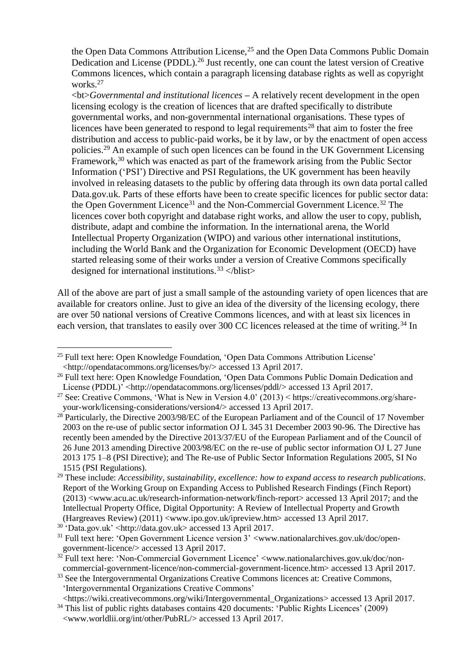the Open Data Commons Attribution License,<sup>25</sup> and the Open Data Commons Public Domain Dedication and License (PDDL).<sup>26</sup> Just recently, one can count the latest version of Creative Commons licences, which contain a paragraph licensing database rights as well as copyright works.<sup>27</sup>

<bt>*Governmental and institutional licences* **–** A relatively recent development in the open licensing ecology is the creation of licences that are drafted specifically to distribute governmental works, and non-governmental international organisations. These types of licences have been generated to respond to legal requirements<sup>28</sup> that aim to foster the free distribution and access to public-paid works, be it by law, or by the enactment of open access policies.<sup>29</sup> An example of such open licences can be found in the UK Government Licensing Framework,<sup>30</sup> which was enacted as part of the framework arising from the Public Sector Information ('PSI') Directive and PSI Regulations, the UK government has been heavily involved in releasing datasets to the public by offering data through its own data portal called Data.gov.uk. Parts of these efforts have been to create specific licences for public sector data: the Open Government Licence<sup>31</sup> and the Non-Commercial Government Licence.<sup>32</sup> The licences cover both copyright and database right works, and allow the user to copy, publish, distribute, adapt and combine the information. In the international arena, the World Intellectual Property Organization (WIPO) and various other international institutions, including the World Bank and the Organization for Economic Development (OECD) have started releasing some of their works under a version of Creative Commons specifically designed for international institutions.<sup>33</sup>  $\langle$ blist>

All of the above are part of just a small sample of the astounding variety of open licences that are available for creators online. Just to give an idea of the diversity of the licensing ecology, there are over 50 national versions of Creative Commons licences, and with at least six licences in each version, that translates to easily over 300 CC licences released at the time of writing.<sup>34</sup> In

<sup>25</sup> Full text here: Open Knowledge Foundation, 'Open Data Commons Attribution License' <http://opendatacommons.org/licenses/by/> accessed 13 April 2017.

<sup>&</sup>lt;sup>26</sup> Full text here: Open Knowledge Foundation, 'Open Data Commons Public Domain Dedication and License (PDDL)<sup> $\check{\cdot}$ </sup> <http://opendatacommons.org/licenses/pddl/> accessed 13 April 2017.

<sup>&</sup>lt;sup>27</sup> See: Creative Commons, 'What is New in Version 4.0' (2013) < https://creativecommons.org/shareyour-work/licensing-considerations/version4/> accessed 13 April 2017.

<sup>&</sup>lt;sup>28</sup> Particularly, the Directive 2003/98/EC of the European Parliament and of the Council of 17 November 2003 on the re-use of public sector information OJ L 345 31 December 2003 90-96. The Directive has recently been amended by the Directive 2013/37/EU of the European Parliament and of the Council of 26 June 2013 amending Directive 2003/98/EC on the re-use of public sector information OJ L 27 June 2013 175 1–8 (PSI Directive); and The Re-use of Public Sector Information Regulations 2005, SI No 1515 (PSI Regulations).

<sup>29</sup> These include: *Accessibility, sustainability, excellence: how to expand access to research publications*. Report of the Working Group on Expanding Access to Published Research Findings (Finch Report) (2013) <www.acu.ac.uk/research-information-network/finch-report> accessed 13 April 2017; and the Intellectual Property Office, Digital Opportunity: A Review of Intellectual Property and Growth (Hargreaves Review) (2011) <www.ipo.gov.uk/ipreview.htm> accessed 13 April 2017.

<sup>30</sup> 'Data.gov.uk' <http://data.gov.uk> accessed 13 April 2017.

<sup>&</sup>lt;sup>31</sup> Full text here: 'Open Government Licence version 3' <www.nationalarchives.gov.uk/doc/opengovernment-licence/> accessed 13 April 2017.

<sup>&</sup>lt;sup>32</sup> Full text here: 'Non-Commercial Government Licence' <www.nationalarchives.gov.uk/doc/noncommercial-government-licence/non-commercial-government-licence.htm> accessed 13 April 2017.

<sup>&</sup>lt;sup>33</sup> See the Intergovernmental Organizations Creative Commons licences at: Creative Commons, 'Intergovernmental Organizations Creative Commons'

<sup>&</sup>lt;https://wiki.creativecommons.org/wiki/Intergovernmental\_Organizations> accessed 13 April 2017. <sup>34</sup> This list of public rights databases contains 420 documents: 'Public Rights Licences' (2009)

<sup>&</sup>lt;www.worldlii.org/int/other/PubRL/> accessed 13 April 2017.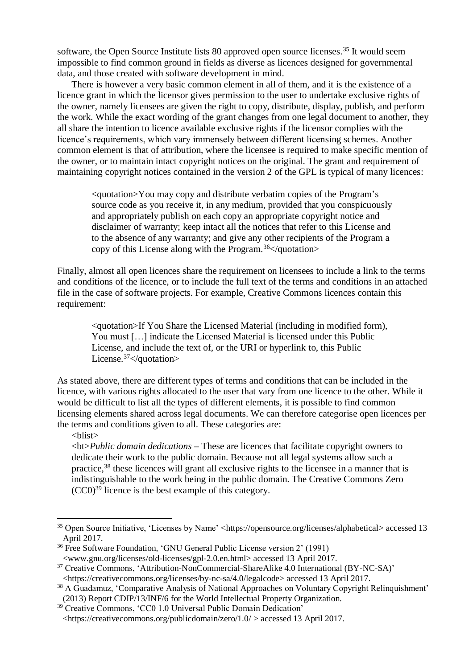software, the Open Source Institute lists 80 approved open source licenses.<sup>35</sup> It would seem impossible to find common ground in fields as diverse as licences designed for governmental data, and those created with software development in mind.

There is however a very basic common element in all of them, and it is the existence of a licence grant in which the licensor gives permission to the user to undertake exclusive rights of the owner, namely licensees are given the right to copy, distribute, display, publish, and perform the work. While the exact wording of the grant changes from one legal document to another, they all share the intention to licence available exclusive rights if the licensor complies with the licence's requirements, which vary immensely between different licensing schemes. Another common element is that of attribution, where the licensee is required to make specific mention of the owner, or to maintain intact copyright notices on the original. The grant and requirement of maintaining copyright notices contained in the version 2 of the GPL is typical of many licences:

<quotation>You may copy and distribute verbatim copies of the Program's source code as you receive it, in any medium, provided that you conspicuously and appropriately publish on each copy an appropriate copyright notice and disclaimer of warranty; keep intact all the notices that refer to this License and to the absence of any warranty; and give any other recipients of the Program a copy of this License along with the Program.<sup>36</sup> $\lt$ /quotation>

Finally, almost all open licences share the requirement on licensees to include a link to the terms and conditions of the licence, or to include the full text of the terms and conditions in an attached file in the case of software projects. For example, Creative Commons licences contain this requirement:

<quotation>If You Share the Licensed Material (including in modified form), You must […] indicate the Licensed Material is licensed under this Public License, and include the text of, or the URI or hyperlink to, this Public License.<sup>37</sup></quotation>

As stated above, there are different types of terms and conditions that can be included in the licence, with various rights allocated to the user that vary from one licence to the other. While it would be difficult to list all the types of different elements, it is possible to find common licensing elements shared across legal documents. We can therefore categorise open licences per the terms and conditions given to all. These categories are:

<blist>

 $\overline{a}$ 

<bt>*Public domain dedications* **–** These are licences that facilitate copyright owners to dedicate their work to the public domain. Because not all legal systems allow such a practice,<sup>38</sup> these licences will grant all exclusive rights to the licensee in a manner that is indistinguishable to the work being in the public domain. The Creative Commons Zero (CC0)<sup>39</sup> licence is the best example of this category.

<sup>35</sup> Open Source Initiative, 'Licenses by Name' <https://opensource.org/licenses/alphabetical> accessed 13 April 2017.

<sup>36</sup> Free Software Foundation, 'GNU General Public License version 2' (1991) <www.gnu.org/licenses/old-licenses/gpl-2.0.en.html> accessed 13 April 2017.

<sup>&</sup>lt;sup>37</sup> Creative Commons, 'Attribution-NonCommercial-ShareAlike 4.0 International (BY-NC-SA)'

<sup>&</sup>lt;https://creativecommons.org/licenses/by-nc-sa/4.0/legalcode> accessed 13 April 2017.

<sup>&</sup>lt;sup>38</sup> A Guadamuz, 'Comparative Analysis of National Approaches on Voluntary Copyright Relinquishment' (2013) Report CDIP/13/INF/6 for the World Intellectual Property Organization.

<sup>&</sup>lt;sup>39</sup> Creative Commons, 'CC0 1.0 Universal Public Domain Dedication'

<sup>&</sup>lt;https://creativecommons.org/publicdomain/zero/1.0/ > accessed 13 April 2017.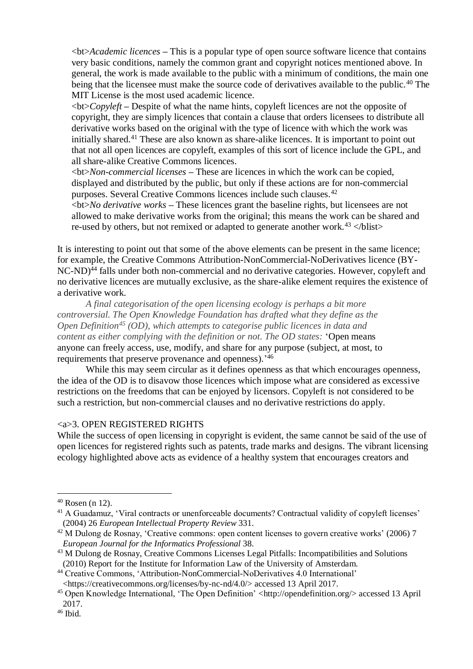<bt>*Academic licences* **–** This is a popular type of open source software licence that contains very basic conditions, namely the common grant and copyright notices mentioned above. In general, the work is made available to the public with a minimum of conditions, the main one being that the licensee must make the source code of derivatives available to the public.<sup>40</sup> The MIT License is the most used academic licence.

<bt>*Copyleft* **–** Despite of what the name hints, copyleft licences are not the opposite of copyright, they are simply licences that contain a clause that orders licensees to distribute all derivative works based on the original with the type of licence with which the work was initially shared.<sup>41</sup> These are also known as share-alike licences. It is important to point out that not all open licences are copyleft, examples of this sort of licence include the GPL, and all share-alike Creative Commons licences.

<bt>*Non-commercial licenses* **–** These are licences in which the work can be copied, displayed and distributed by the public, but only if these actions are for non-commercial purposes. Several Creative Commons licences include such clauses.<sup>42</sup>

<bt>*No derivative works* **–** These licences grant the baseline rights, but licensees are not allowed to make derivative works from the original; this means the work can be shared and re-used by others, but not remixed or adapted to generate another work. $43$  </br/>/blist>

It is interesting to point out that some of the above elements can be present in the same licence; for example, the Creative Commons Attribution-NonCommercial-NoDerivatives licence (BY-NC-ND)<sup>44</sup> falls under both non-commercial and no derivative categories. However, copyleft and no derivative licences are mutually exclusive, as the share-alike element requires the existence of a derivative work.

*A final categorisation of the open licensing ecology is perhaps a bit more controversial. The Open Knowledge Foundation has drafted what they define as the Open Definition<sup>45</sup> (OD), which attempts to categorise public licences in data and content as either complying with the definition or not. The OD states:* 'Open means anyone can freely access, use, modify, and share for any purpose (subject, at most, to requirements that preserve provenance and openness).<sup>146</sup>

While this may seem circular as it defines openness as that which encourages openness, the idea of the OD is to disavow those licences which impose what are considered as excessive restrictions on the freedoms that can be enjoyed by licensors. Copyleft is not considered to be such a restriction, but non-commercial clauses and no derivative restrictions do apply.

## <a>3. OPEN REGISTERED RIGHTS

While the success of open licensing in copyright is evident, the same cannot be said of the use of open licences for registered rights such as patents, trade marks and designs. The vibrant licensing ecology highlighted above acts as evidence of a healthy system that encourages creators and

 $40$  Rosen (n 12).

<sup>&</sup>lt;sup>41</sup> A Guadamuz, 'Viral contracts or unenforceable documents? Contractual validity of copyleft licenses' (2004) 26 *European Intellectual Property Review* 331.

<sup>&</sup>lt;sup>42</sup> M Dulong de Rosnay, 'Creative commons: open content licenses to govern creative works' (2006) 7 *European Journal for the Informatics Professional* 38.

<sup>43</sup> M Dulong de Rosnay, Creative Commons Licenses Legal Pitfalls: Incompatibilities and Solutions (2010) Report for the Institute for Information Law of the University of Amsterdam.

<sup>44</sup> Creative Commons, 'Attribution-NonCommercial-NoDerivatives 4.0 International' <https://creativecommons.org/licenses/by-nc-nd/4.0/> accessed 13 April 2017.

<sup>45</sup> Open Knowledge International, 'The Open Definition' <http://opendefinition.org/> accessed 13 April 2017.

 $46$  Ibid.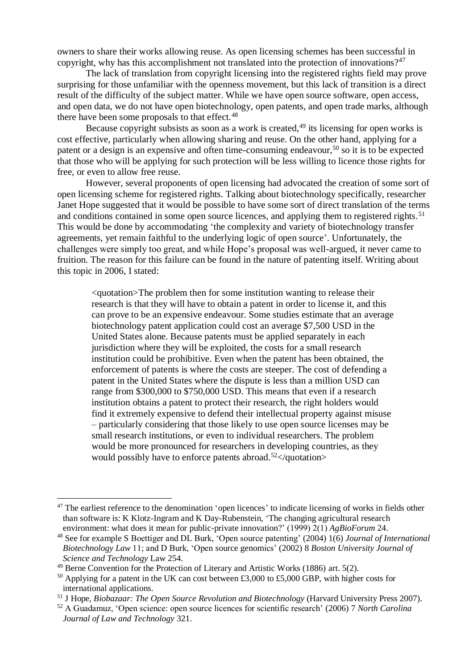owners to share their works allowing reuse. As open licensing schemes has been successful in copyright, why has this accomplishment not translated into the protection of innovations?<sup>47</sup>

The lack of translation from copyright licensing into the registered rights field may prove surprising for those unfamiliar with the openness movement, but this lack of transition is a direct result of the difficulty of the subject matter. While we have open source software, open access, and open data, we do not have open biotechnology, open patents, and open trade marks, although there have been some proposals to that effect.<sup>48</sup>

Because copyright subsists as soon as a work is created,  $49$  its licensing for open works is cost effective, particularly when allowing sharing and reuse. On the other hand, applying for a patent or a design is an expensive and often time-consuming endeavour,<sup>50</sup> so it is to be expected that those who will be applying for such protection will be less willing to licence those rights for free, or even to allow free reuse.

However, several proponents of open licensing had advocated the creation of some sort of open licensing scheme for registered rights. Talking about biotechnology specifically, researcher Janet Hope suggested that it would be possible to have some sort of direct translation of the terms and conditions contained in some open source licences, and applying them to registered rights.<sup>51</sup> This would be done by accommodating 'the complexity and variety of biotechnology transfer agreements, yet remain faithful to the underlying logic of open source'. Unfortunately, the challenges were simply too great, and while Hope's proposal was well-argued, it never came to fruition. The reason for this failure can be found in the nature of patenting itself. Writing about this topic in 2006, I stated:

<quotation>The problem then for some institution wanting to release their research is that they will have to obtain a patent in order to license it, and this can prove to be an expensive endeavour. Some studies estimate that an average biotechnology patent application could cost an average \$7,500 USD in the United States alone. Because patents must be applied separately in each jurisdiction where they will be exploited, the costs for a small research institution could be prohibitive. Even when the patent has been obtained, the enforcement of patents is where the costs are steeper. The cost of defending a patent in the United States where the dispute is less than a million USD can range from \$300,000 to \$750,000 USD. This means that even if a research institution obtains a patent to protect their research, the right holders would find it extremely expensive to defend their intellectual property against misuse – particularly considering that those likely to use open source licenses may be small research institutions, or even to individual researchers. The problem would be more pronounced for researchers in developing countries, as they would possibly have to enforce patents abroad.<sup>52</sup> $\lt$ /quotation>

<sup>&</sup>lt;sup>47</sup> The earliest reference to the denomination 'open licences' to indicate licensing of works in fields other than software is: K Klotz-Ingram and K Day-Rubenstein, 'The changing agricultural research environment: what does it mean for public-private innovation?' (1999) 2(1) *AgBioForum* 24.

<sup>48</sup> See for example S Boettiger and DL Burk, 'Open source patenting' (2004) 1(6) *Journal of International Biotechnology Law* 11; and D Burk, 'Open source genomics' (2002) 8 *Boston University Journal of Science and Technology* Law 254.

 $49$  Berne Convention for the Protection of Literary and Artistic Works (1886) art. 5(2).

<sup>&</sup>lt;sup>50</sup> Applying for a patent in the UK can cost between £3,000 to £5,000 GBP, with higher costs for international applications.

<sup>51</sup> J Hope, *Biobazaar: The Open Source Revolution and Biotechnology* (Harvard University Press 2007).

<sup>52</sup> A Guadamuz, 'Open science: open source licences for scientific research' (2006) 7 *North Carolina Journal of Law and Technology* 321.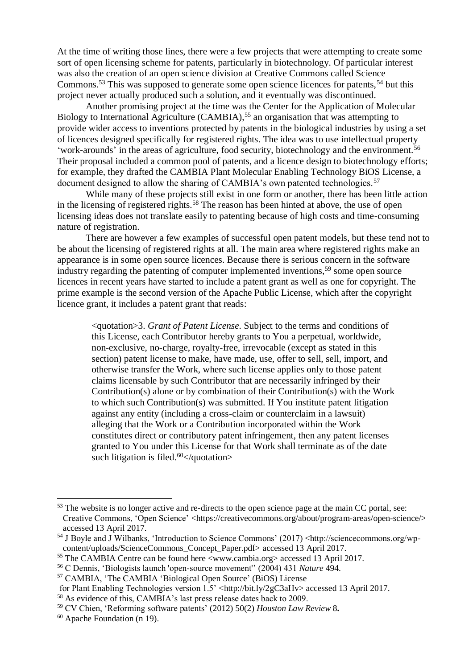At the time of writing those lines, there were a few projects that were attempting to create some sort of open licensing scheme for patents, particularly in biotechnology. Of particular interest was also the creation of an open science division at Creative Commons called Science Commons.<sup>53</sup> This was supposed to generate some open science licences for patents,  $54$  but this project never actually produced such a solution, and it eventually was discontinued.

Another promising project at the time was the Center for the Application of Molecular Biology to International Agriculture (CAMBIA),<sup>55</sup> an organisation that was attempting to provide wider access to inventions protected by patents in the biological industries by using a set of licences designed specifically for registered rights. The idea was to use intellectual property 'work-arounds' in the areas of agriculture, food security, biotechnology and the environment.<sup>56</sup> Their proposal included a common pool of patents, and a licence design to biotechnology efforts; for example, they drafted the CAMBIA Plant Molecular Enabling Technology BiOS License, a document designed to allow the sharing of CAMBIA's own patented technologies.<sup>57</sup>

While many of these projects still exist in one form or another, there has been little action in the licensing of registered rights.<sup>58</sup> The reason has been hinted at above, the use of open licensing ideas does not translate easily to patenting because of high costs and time-consuming nature of registration.

There are however a few examples of successful open patent models, but these tend not to be about the licensing of registered rights at all. The main area where registered rights make an appearance is in some open source licences. Because there is serious concern in the software industry regarding the patenting of computer implemented inventions,<sup>59</sup> some open source licences in recent years have started to include a patent grant as well as one for copyright. The prime example is the second version of the Apache Public License, which after the copyright licence grant, it includes a patent grant that reads:

<quotation>3. *Grant of Patent License.* Subject to the terms and conditions of this License, each Contributor hereby grants to You a perpetual, worldwide, non-exclusive, no-charge, royalty-free, irrevocable (except as stated in this section) patent license to make, have made, use, offer to sell, sell, import, and otherwise transfer the Work, where such license applies only to those patent claims licensable by such Contributor that are necessarily infringed by their Contribution(s) alone or by combination of their Contribution(s) with the Work to which such Contribution(s) was submitted. If You institute patent litigation against any entity (including a cross-claim or counterclaim in a lawsuit) alleging that the Work or a Contribution incorporated within the Work constitutes direct or contributory patent infringement, then any patent licenses granted to You under this License for that Work shall terminate as of the date such litigation is filed.<sup>60</sup> $\lt$ /quotation>

<sup>&</sup>lt;sup>53</sup> The website is no longer active and re-directs to the open science page at the main CC portal, see: Creative Commons, 'Open Science' <https://creativecommons.org/about/program-areas/open-science/> accessed 13 April 2017.

<sup>54</sup> J Boyle and J Wilbanks, 'Introduction to Science Commons' (2017) <http://sciencecommons.org/wpcontent/uploads/ScienceCommons\_Concept\_Paper.pdf> accessed 13 April 2017.

<sup>55</sup> The CAMBIA Centre can be found here <www.cambia.org> accessed 13 April 2017.

<sup>56</sup> C Dennis, 'Biologists launch 'open-source movement'' (2004) 431 *Nature* 494.

<sup>57</sup> CAMBIA, 'The CAMBIA 'Biological Open Source' (BiOS) License

for Plant Enabling Technologies version  $1.5'$  <http://bit.ly/2gC3aHv> accessed 13 April 2017.

<sup>58</sup> As evidence of this, CAMBIA's last press release dates back to 2009.

<sup>59</sup> CV Chien, 'Reforming software patents' (2012) 50(2) *Houston Law Review* 8**.**

<sup>60</sup> Apache Foundation (n 19).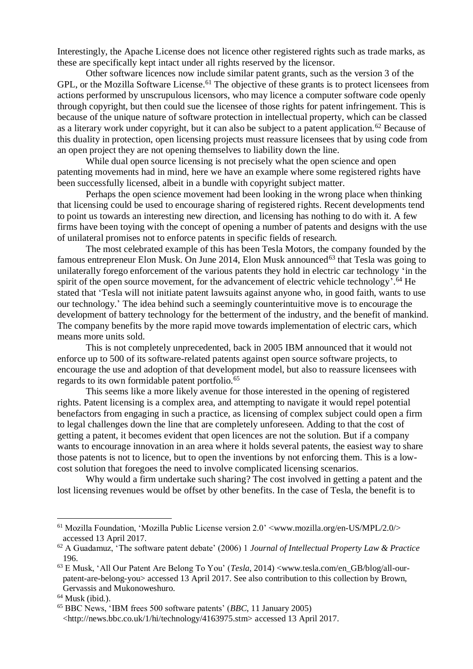Interestingly, the Apache License does not licence other registered rights such as trade marks, as these are specifically kept intact under all rights reserved by the licensor.

Other software licences now include similar patent grants, such as the version 3 of the GPL, or the Mozilla Software License.<sup>61</sup> The objective of these grants is to protect licensees from actions performed by unscrupulous licensors, who may licence a computer software code openly through copyright, but then could sue the licensee of those rights for patent infringement. This is because of the unique nature of software protection in intellectual property, which can be classed as a literary work under copyright, but it can also be subject to a patent application.<sup>62</sup> Because of this duality in protection, open licensing projects must reassure licensees that by using code from an open project they are not opening themselves to liability down the line.

While dual open source licensing is not precisely what the open science and open patenting movements had in mind, here we have an example where some registered rights have been successfully licensed, albeit in a bundle with copyright subject matter.

Perhaps the open science movement had been looking in the wrong place when thinking that licensing could be used to encourage sharing of registered rights. Recent developments tend to point us towards an interesting new direction, and licensing has nothing to do with it. A few firms have been toying with the concept of opening a number of patents and designs with the use of unilateral promises not to enforce patents in specific fields of research.

The most celebrated example of this has been Tesla Motors, the company founded by the famous entrepreneur Elon Musk. On June 2014, Elon Musk announced<sup>63</sup> that Tesla was going to unilaterally forego enforcement of the various patents they hold in electric car technology 'in the spirit of the open source movement, for the advancement of electric vehicle technology'.<sup>64</sup> He stated that 'Tesla will not initiate patent lawsuits against anyone who, in good faith, wants to use our technology.' The idea behind such a seemingly counterintuitive move is to encourage the development of battery technology for the betterment of the industry, and the benefit of mankind. The company benefits by the more rapid move towards implementation of electric cars, which means more units sold.

This is not completely unprecedented, back in 2005 IBM announced that it would not enforce up to 500 of its software-related patents against open source software projects, to encourage the use and adoption of that development model, but also to reassure licensees with regards to its own formidable patent portfolio.<sup>65</sup>

This seems like a more likely avenue for those interested in the opening of registered rights. Patent licensing is a complex area, and attempting to navigate it would repel potential benefactors from engaging in such a practice, as licensing of complex subject could open a firm to legal challenges down the line that are completely unforeseen. Adding to that the cost of getting a patent, it becomes evident that open licences are not the solution. But if a company wants to encourage innovation in an area where it holds several patents, the easiest way to share those patents is not to licence, but to open the inventions by not enforcing them. This is a lowcost solution that foregoes the need to involve complicated licensing scenarios.

Why would a firm undertake such sharing? The cost involved in getting a patent and the lost licensing revenues would be offset by other benefits. In the case of Tesla, the benefit is to

 $61$  Mozilla Foundation, 'Mozilla Public License version 2.0'  $\leq$ www.mozilla.org/en-US/MPL/2.0/ $>$ accessed 13 April 2017.

<sup>62</sup> A Guadamuz, 'The software patent debate' (2006) 1 *Journal of Intellectual Property Law & Practice* 196.

<sup>63</sup> E Musk, 'All Our Patent Are Belong To You' (*Tesla*, 2014) <www.tesla.com/en\_GB/blog/all-ourpatent-are-belong-you> accessed 13 April 2017. See also contribution to this collection by Brown, Gervassis and Mukonoweshuro.

 $64$  Musk (ibid.).

<sup>65</sup> BBC News, 'IBM frees 500 software patents' (*BBC*, 11 January 2005) <http://news.bbc.co.uk/1/hi/technology/4163975.stm> accessed 13 April 2017.